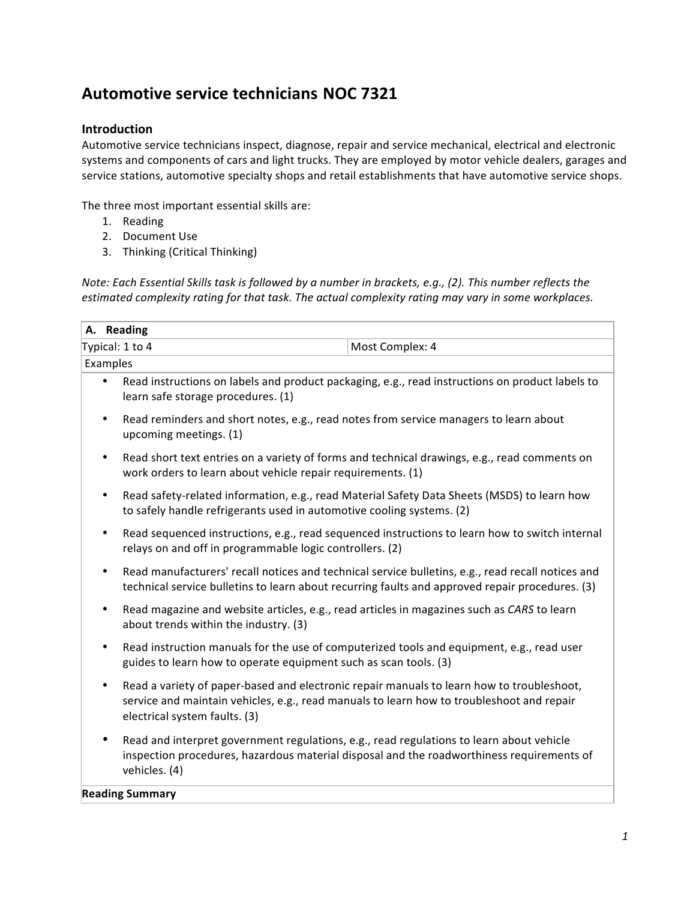# **Automotive service technicians NOC 7321**

# **Introduction**

Automotive service technicians inspect, diagnose, repair and service mechanical, electrical and electronic systems and components of cars and light trucks. They are employed by motor vehicle dealers, garages and service stations, automotive specialty shops and retail establishments that have automotive service shops.

The three most important essential skills are:

- 1. Reading
- 2. Document Use
- 3. Thinking (Critical Thinking)

*Note: Each Essential Skills task is followed by a number in brackets, e.g., (2). This number reflects the* estimated complexity rating for that task. The actual complexity rating may vary in some workplaces.

|          | A. Reading                                                                                                                                                                                                |                                                                                                                                                            |                                                                                                                                                                                        |  |  |  |
|----------|-----------------------------------------------------------------------------------------------------------------------------------------------------------------------------------------------------------|------------------------------------------------------------------------------------------------------------------------------------------------------------|----------------------------------------------------------------------------------------------------------------------------------------------------------------------------------------|--|--|--|
|          | Typical: 1 to 4<br>Most Complex: 4                                                                                                                                                                        |                                                                                                                                                            |                                                                                                                                                                                        |  |  |  |
| Examples |                                                                                                                                                                                                           |                                                                                                                                                            |                                                                                                                                                                                        |  |  |  |
|          | ٠                                                                                                                                                                                                         | learn safe storage procedures. (1)                                                                                                                         | Read instructions on labels and product packaging, e.g., read instructions on product labels to                                                                                        |  |  |  |
|          | ٠                                                                                                                                                                                                         | Read reminders and short notes, e.g., read notes from service managers to learn about<br>upcoming meetings. (1)                                            |                                                                                                                                                                                        |  |  |  |
|          | ٠                                                                                                                                                                                                         | work orders to learn about vehicle repair requirements. (1)                                                                                                | Read short text entries on a variety of forms and technical drawings, e.g., read comments on                                                                                           |  |  |  |
|          | ٠                                                                                                                                                                                                         | to safely handle refrigerants used in automotive cooling systems. (2)                                                                                      | Read safety-related information, e.g., read Material Safety Data Sheets (MSDS) to learn how                                                                                            |  |  |  |
|          | ٠                                                                                                                                                                                                         | Read sequenced instructions, e.g., read sequenced instructions to learn how to switch internal<br>relays on and off in programmable logic controllers. (2) |                                                                                                                                                                                        |  |  |  |
|          | Read manufacturers' recall notices and technical service bulletins, e.g., read recall notices and<br>٠<br>technical service bulletins to learn about recurring faults and approved repair procedures. (3) |                                                                                                                                                            |                                                                                                                                                                                        |  |  |  |
|          | ٠                                                                                                                                                                                                         | Read magazine and website articles, e.g., read articles in magazines such as CARS to learn<br>about trends within the industry. (3)                        |                                                                                                                                                                                        |  |  |  |
|          | ٠                                                                                                                                                                                                         | guides to learn how to operate equipment such as scan tools. (3)                                                                                           | Read instruction manuals for the use of computerized tools and equipment, e.g., read user                                                                                              |  |  |  |
|          | ٠                                                                                                                                                                                                         | electrical system faults. (3)                                                                                                                              | Read a variety of paper-based and electronic repair manuals to learn how to troubleshoot,<br>service and maintain vehicles, e.g., read manuals to learn how to troubleshoot and repair |  |  |  |
|          |                                                                                                                                                                                                           | vehicles. (4)                                                                                                                                              | Read and interpret government regulations, e.g., read regulations to learn about vehicle<br>inspection procedures, hazardous material disposal and the roadworthiness requirements of  |  |  |  |
|          |                                                                                                                                                                                                           |                                                                                                                                                            |                                                                                                                                                                                        |  |  |  |

#### **Reading Summary**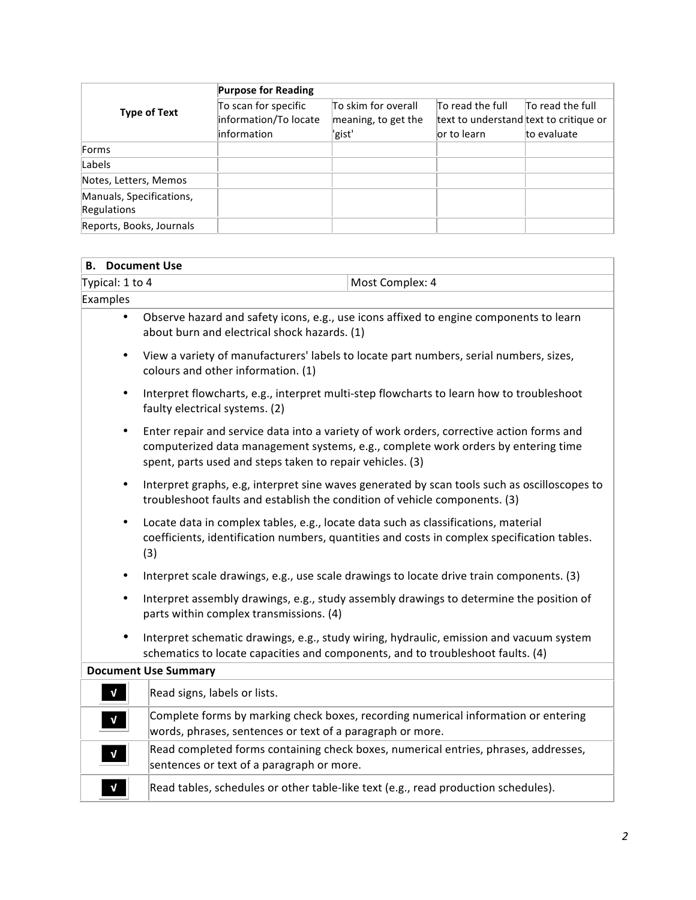|                                                | <b>Purpose for Reading</b>                                   |                                                      |                                                                           |                                 |  |  |
|------------------------------------------------|--------------------------------------------------------------|------------------------------------------------------|---------------------------------------------------------------------------|---------------------------------|--|--|
| <b>Type of Text</b>                            | To scan for specific<br>information/To locate<br>information | To skim for overall<br>meaning, to get the<br>'gist' | To read the full<br>text to understand text to critique or<br>or to learn | To read the full<br>to evaluate |  |  |
| Forms                                          |                                                              |                                                      |                                                                           |                                 |  |  |
| Labels                                         |                                                              |                                                      |                                                                           |                                 |  |  |
| Notes, Letters, Memos                          |                                                              |                                                      |                                                                           |                                 |  |  |
| Manuals, Specifications,<br><b>Regulations</b> |                                                              |                                                      |                                                                           |                                 |  |  |
| Reports, Books, Journals                       |                                                              |                                                      |                                                                           |                                 |  |  |

# **B.** Document Use

| Typical: 1 to 4 |                                                                                                                                                                                          | Most Complex: 4                                                                                                                                                               |  |  |  |  |  |
|-----------------|------------------------------------------------------------------------------------------------------------------------------------------------------------------------------------------|-------------------------------------------------------------------------------------------------------------------------------------------------------------------------------|--|--|--|--|--|
| Examples        |                                                                                                                                                                                          |                                                                                                                                                                               |  |  |  |  |  |
| $\bullet$       | about burn and electrical shock hazards. (1)                                                                                                                                             | Observe hazard and safety icons, e.g., use icons affixed to engine components to learn                                                                                        |  |  |  |  |  |
| $\bullet$       | View a variety of manufacturers' labels to locate part numbers, serial numbers, sizes,<br>colours and other information. (1)                                                             |                                                                                                                                                                               |  |  |  |  |  |
| $\bullet$       | faulty electrical systems. (2)                                                                                                                                                           | Interpret flowcharts, e.g., interpret multi-step flowcharts to learn how to troubleshoot                                                                                      |  |  |  |  |  |
| $\bullet$       | spent, parts used and steps taken to repair vehicles. (3)                                                                                                                                | Enter repair and service data into a variety of work orders, corrective action forms and<br>computerized data management systems, e.g., complete work orders by entering time |  |  |  |  |  |
| $\bullet$       | troubleshoot faults and establish the condition of vehicle components. (3)                                                                                                               | Interpret graphs, e.g, interpret sine waves generated by scan tools such as oscilloscopes to                                                                                  |  |  |  |  |  |
| $\bullet$       | Locate data in complex tables, e.g., locate data such as classifications, material<br>coefficients, identification numbers, quantities and costs in complex specification tables.<br>(3) |                                                                                                                                                                               |  |  |  |  |  |
| $\bullet$       |                                                                                                                                                                                          | Interpret scale drawings, e.g., use scale drawings to locate drive train components. (3)                                                                                      |  |  |  |  |  |
| $\bullet$       | parts within complex transmissions. (4)                                                                                                                                                  | Interpret assembly drawings, e.g., study assembly drawings to determine the position of                                                                                       |  |  |  |  |  |
| $\bullet$       | schematics to locate capacities and components, and to troubleshoot faults. (4)                                                                                                          | Interpret schematic drawings, e.g., study wiring, hydraulic, emission and vacuum system                                                                                       |  |  |  |  |  |
|                 | <b>Document Use Summary</b>                                                                                                                                                              |                                                                                                                                                                               |  |  |  |  |  |
| $\mathbf{v}$    | Read signs, labels or lists.                                                                                                                                                             |                                                                                                                                                                               |  |  |  |  |  |
| $\sqrt{ }$      | words, phrases, sentences or text of a paragraph or more.                                                                                                                                | Complete forms by marking check boxes, recording numerical information or entering                                                                                            |  |  |  |  |  |
| $\mathbf{V}$    | sentences or text of a paragraph or more.                                                                                                                                                | Read completed forms containing check boxes, numerical entries, phrases, addresses,                                                                                           |  |  |  |  |  |
| $\mathbf{V}$    | Read tables, schedules or other table-like text (e.g., read production schedules).                                                                                                       |                                                                                                                                                                               |  |  |  |  |  |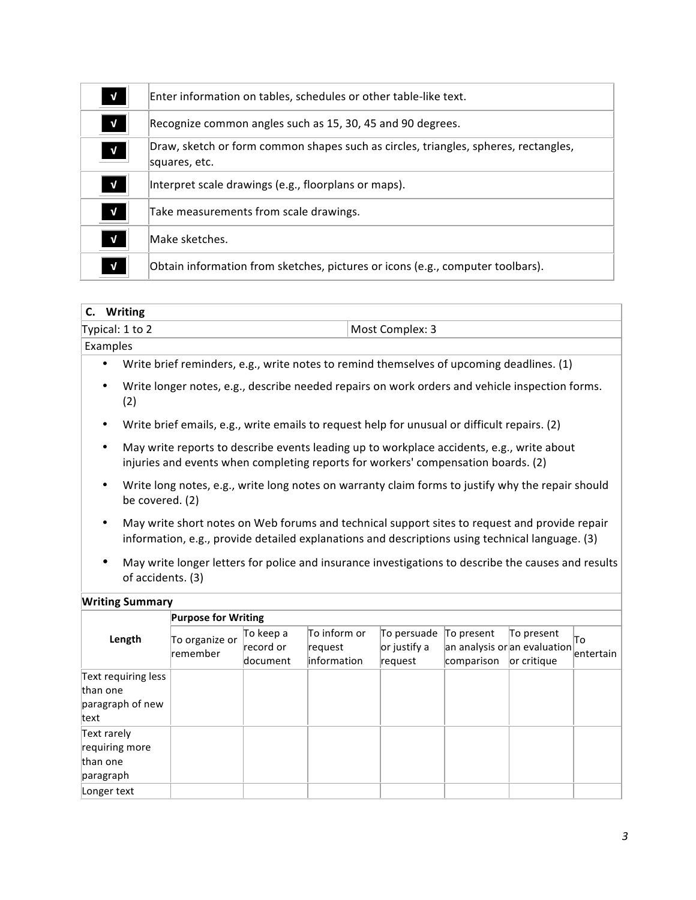| $\mathbf{V}$ | Enter information on tables, schedules or other table-like text.                                     |
|--------------|------------------------------------------------------------------------------------------------------|
| $\mathbf{V}$ | Recognize common angles such as 15, 30, 45 and 90 degrees.                                           |
| $\mathbf v$  | Draw, sketch or form common shapes such as circles, triangles, spheres, rectangles,<br>squares, etc. |
| $\mathbf{V}$ | Interpret scale drawings (e.g., floorplans or maps).                                                 |
| $\mathbf{V}$ | Take measurements from scale drawings.                                                               |
| $\mathbf{V}$ | Make sketches.                                                                                       |
| $\mathbf{V}$ | Obtain information from sketches, pictures or icons (e.g., computer toolbars).                       |

| Most Complex: 3 |  |
|-----------------|--|
|                 |  |
|                 |  |

- Write brief reminders, e.g., write notes to remind themselves of upcoming deadlines. (1)
- Write longer notes, e.g., describe needed repairs on work orders and vehicle inspection forms. (2)
- Write brief emails, e.g., write emails to request help for unusual or difficult repairs. (2)
- May write reports to describe events leading up to workplace accidents, e.g., write about injuries and events when completing reports for workers' compensation boards. (2)
- Write long notes, e.g., write long notes on warranty claim forms to justify why the repair should be covered. (2)
- May write short notes on Web forums and technical support sites to request and provide repair information, e.g., provide detailed explanations and descriptions using technical language. (3)
- May write longer letters for police and insurance investigations to describe the causes and results of accidents. (3)

#### **Writing Summary**

|                                                             | <b>Purpose for Writing</b>        |                                    |                                         |                                           |                                                          |                           |                   |  |
|-------------------------------------------------------------|-----------------------------------|------------------------------------|-----------------------------------------|-------------------------------------------|----------------------------------------------------------|---------------------------|-------------------|--|
| Length                                                      | To organize or<br><b>remember</b> | To keep a<br>record or<br>document | To inform or<br>request<br>linformation | To persuade<br>$ or$ justify a<br>request | To present<br>an analysis or an evaluation<br>comparison | To present<br>or critique | lTo.<br>entertain |  |
| Text requiring less<br>than one<br>paragraph of new<br>text |                                   |                                    |                                         |                                           |                                                          |                           |                   |  |
| Text rarely<br>requiring more<br>than one<br>paragraph      |                                   |                                    |                                         |                                           |                                                          |                           |                   |  |
| Longer text                                                 |                                   |                                    |                                         |                                           |                                                          |                           |                   |  |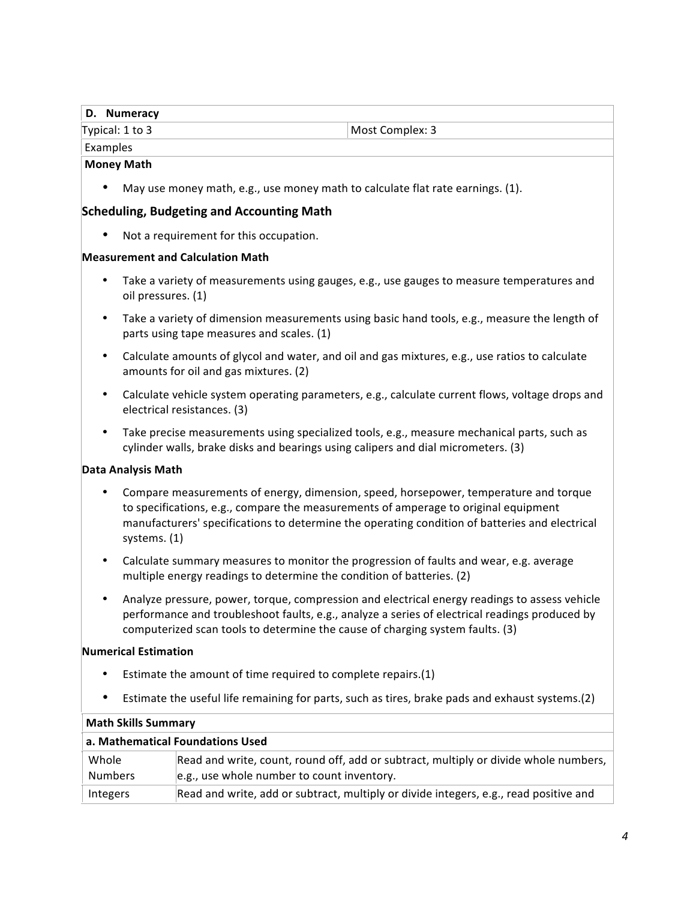#### **D. Numeracy**

Typical: 1 to 3 Most Complex: 3

# Examples

# **Money Math**

May use money math, e.g., use money math to calculate flat rate earnings.  $(1)$ .

### **Scheduling, Budgeting and Accounting Math**

• Not a requirement for this occupation.

#### **Measurement and Calculation Math**

- Take a variety of measurements using gauges, e.g., use gauges to measure temperatures and oil pressures. (1)
- Take a variety of dimension measurements using basic hand tools, e.g., measure the length of parts using tape measures and scales. (1)
- Calculate amounts of glycol and water, and oil and gas mixtures, e.g., use ratios to calculate amounts for oil and gas mixtures. (2)
- Calculate vehicle system operating parameters, e.g., calculate current flows, voltage drops and electrical resistances. (3)
- Take precise measurements using specialized tools, e.g., measure mechanical parts, such as cylinder walls, brake disks and bearings using calipers and dial micrometers. (3)

# **Data Analysis Math**

- Compare measurements of energy, dimension, speed, horsepower, temperature and torque to specifications, e.g., compare the measurements of amperage to original equipment manufacturers' specifications to determine the operating condition of batteries and electrical systems. (1)
- Calculate summary measures to monitor the progression of faults and wear, e.g. average multiple energy readings to determine the condition of batteries. (2)
- Analyze pressure, power, torque, compression and electrical energy readings to assess vehicle performance and troubleshoot faults, e.g., analyze a series of electrical readings produced by computerized scan tools to determine the cause of charging system faults. (3)

#### **Numerical Estimation**

- Estimate the amount of time required to complete repairs. $(1)$
- Estimate the useful life remaining for parts, such as tires, brake pads and exhaust systems.(2)

| <b>Math Skills Summary</b>       |                                                                                                                                    |  |  |  |  |
|----------------------------------|------------------------------------------------------------------------------------------------------------------------------------|--|--|--|--|
| a. Mathematical Foundations Used |                                                                                                                                    |  |  |  |  |
| Whole<br><b>Numbers</b>          | Read and write, count, round off, add or subtract, multiply or divide whole numbers,<br>e.g., use whole number to count inventory. |  |  |  |  |
| Integers                         | Read and write, add or subtract, multiply or divide integers, e.g., read positive and                                              |  |  |  |  |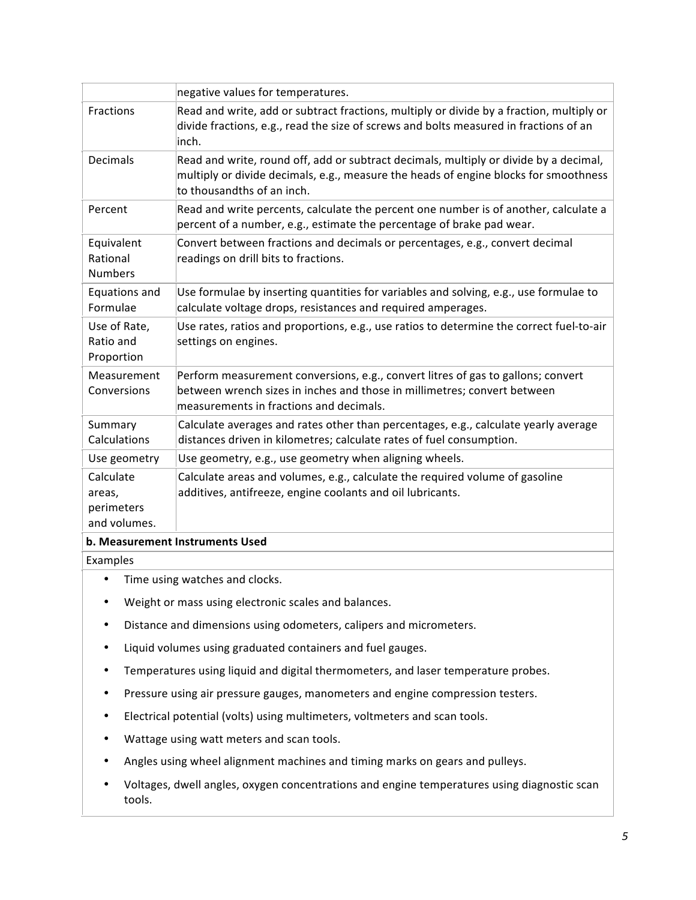|                                                                                                                                                                          | negative values for temperatures.                                                                                                                                                                           |  |  |  |  |
|--------------------------------------------------------------------------------------------------------------------------------------------------------------------------|-------------------------------------------------------------------------------------------------------------------------------------------------------------------------------------------------------------|--|--|--|--|
| Fractions                                                                                                                                                                | Read and write, add or subtract fractions, multiply or divide by a fraction, multiply or<br>divide fractions, e.g., read the size of screws and bolts measured in fractions of an<br>inch.                  |  |  |  |  |
| <b>Decimals</b>                                                                                                                                                          | Read and write, round off, add or subtract decimals, multiply or divide by a decimal,<br>multiply or divide decimals, e.g., measure the heads of engine blocks for smoothness<br>to thousandths of an inch. |  |  |  |  |
| Read and write percents, calculate the percent one number is of another, calculate a<br>Percent<br>percent of a number, e.g., estimate the percentage of brake pad wear. |                                                                                                                                                                                                             |  |  |  |  |
| Equivalent<br>Rational<br><b>Numbers</b>                                                                                                                                 | Convert between fractions and decimals or percentages, e.g., convert decimal<br>readings on drill bits to fractions.                                                                                        |  |  |  |  |
| Equations and<br>Formulae                                                                                                                                                | Use formulae by inserting quantities for variables and solving, e.g., use formulae to<br>calculate voltage drops, resistances and required amperages.                                                       |  |  |  |  |
| Use of Rate,<br>Ratio and<br>Proportion                                                                                                                                  | Use rates, ratios and proportions, e.g., use ratios to determine the correct fuel-to-air<br>settings on engines.                                                                                            |  |  |  |  |
| Measurement<br>Conversions                                                                                                                                               | Perform measurement conversions, e.g., convert litres of gas to gallons; convert<br>between wrench sizes in inches and those in millimetres; convert between<br>measurements in fractions and decimals.     |  |  |  |  |
| Summary<br>Calculations                                                                                                                                                  | Calculate averages and rates other than percentages, e.g., calculate yearly average<br>distances driven in kilometres; calculate rates of fuel consumption.                                                 |  |  |  |  |
| Use geometry                                                                                                                                                             | Use geometry, e.g., use geometry when aligning wheels.                                                                                                                                                      |  |  |  |  |
| Calculate<br>areas,<br>perimeters<br>and volumes.                                                                                                                        | Calculate areas and volumes, e.g., calculate the required volume of gasoline<br>additives, antifreeze, engine coolants and oil lubricants.                                                                  |  |  |  |  |
| b. Measurement Instruments Used                                                                                                                                          |                                                                                                                                                                                                             |  |  |  |  |

Examples 

- Time using watches and clocks.
- Weight or mass using electronic scales and balances.
- Distance and dimensions using odometers, calipers and micrometers.
- Liquid volumes using graduated containers and fuel gauges.
- Temperatures using liquid and digital thermometers, and laser temperature probes.
- Pressure using air pressure gauges, manometers and engine compression testers.
- Electrical potential (volts) using multimeters, voltmeters and scan tools.
- Wattage using watt meters and scan tools.
- Angles using wheel alignment machines and timing marks on gears and pulleys.
- Voltages, dwell angles, oxygen concentrations and engine temperatures using diagnostic scan tools.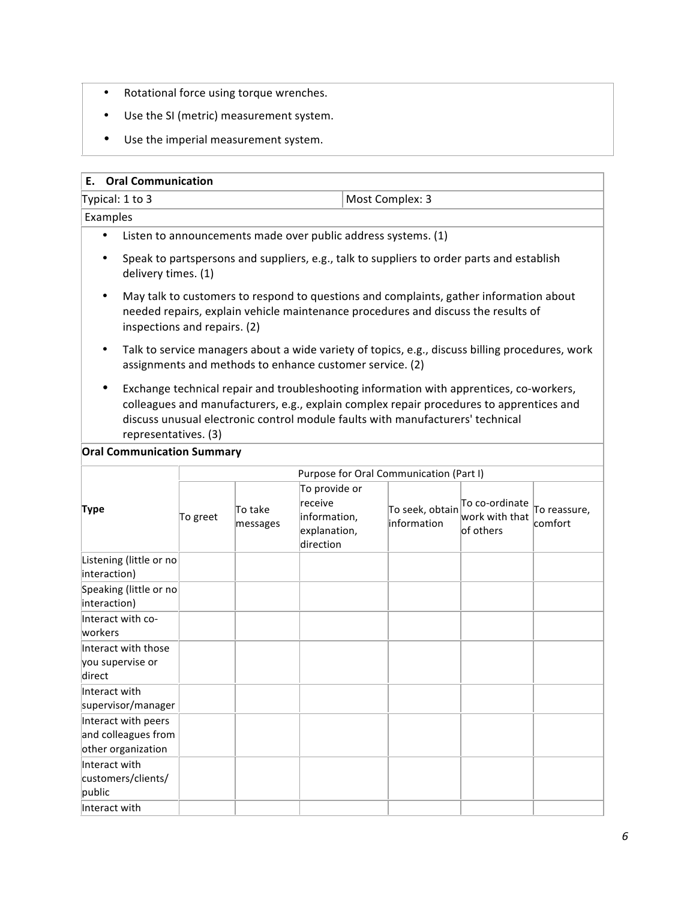- Rotational force using torque wrenches.
- Use the SI (metric) measurement system.
- Use the imperial measurement system.

#### **E. Oral Communication**

| Typical: 1 to 3 | Most Complex: 3 |
|-----------------|-----------------|

Examples 

- Listen to announcements made over public address systems. (1)
- Speak to partspersons and suppliers, e.g., talk to suppliers to order parts and establish delivery times. (1)
- May talk to customers to respond to questions and complaints, gather information about needed repairs, explain vehicle maintenance procedures and discuss the results of inspections and repairs. (2)
- Talk to service managers about a wide variety of topics, e.g., discuss billing procedures, work assignments and methods to enhance customer service. (2)
- Exchange technical repair and troubleshooting information with apprentices, co-workers, colleagues and manufacturers, e.g., explain complex repair procedures to apprentices and discuss unusual electronic control module faults with manufacturers' technical representatives. (3)

**Oral Communication Summary** 

|                                                                  | Purpose for Oral Communication (Part I) |                     |                                                                       |                                |                                               |                         |  |
|------------------------------------------------------------------|-----------------------------------------|---------------------|-----------------------------------------------------------------------|--------------------------------|-----------------------------------------------|-------------------------|--|
| Type                                                             | To greet                                | To take<br>messages | To provide or<br>receive<br>information,<br>explanation,<br>direction | To seek, obtain<br>information | To co-ordinate<br>work with that<br>of others | To reassure,<br>comfort |  |
| Listening (little or no<br>interaction)                          |                                         |                     |                                                                       |                                |                                               |                         |  |
| Speaking (little or no<br>interaction)                           |                                         |                     |                                                                       |                                |                                               |                         |  |
| Interact with co-<br>workers                                     |                                         |                     |                                                                       |                                |                                               |                         |  |
| Interact with those<br>you supervise or<br>direct                |                                         |                     |                                                                       |                                |                                               |                         |  |
| Interact with<br>supervisor/manager                              |                                         |                     |                                                                       |                                |                                               |                         |  |
| Interact with peers<br>and colleagues from<br>other organization |                                         |                     |                                                                       |                                |                                               |                         |  |
| Interact with<br>customers/clients/<br>public                    |                                         |                     |                                                                       |                                |                                               |                         |  |
| Interact with                                                    |                                         |                     |                                                                       |                                |                                               |                         |  |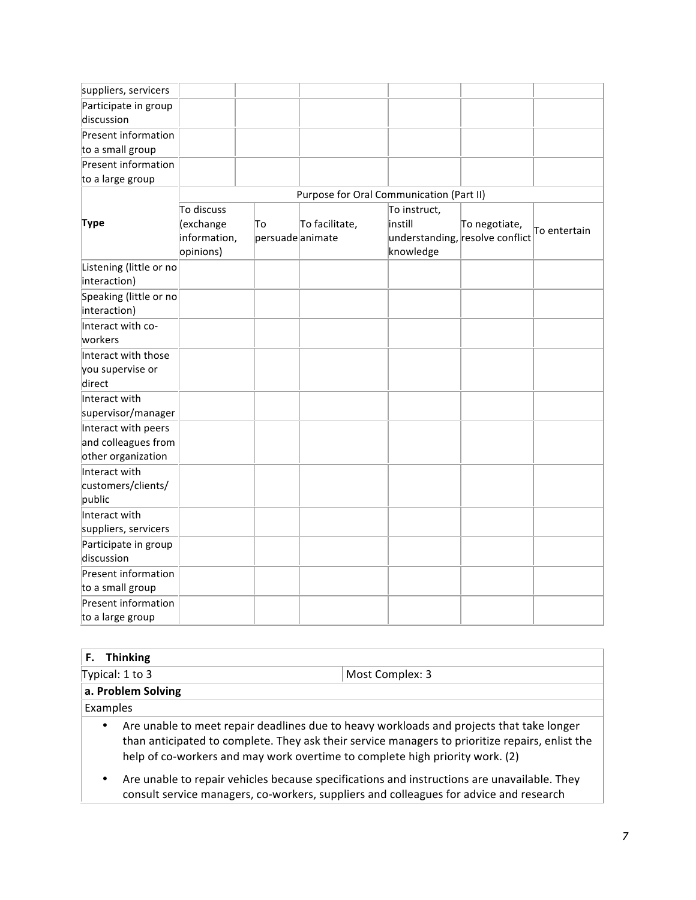| suppliers, servicers                           |              |                  |                                          |              |                                 |              |
|------------------------------------------------|--------------|------------------|------------------------------------------|--------------|---------------------------------|--------------|
| Participate in group                           |              |                  |                                          |              |                                 |              |
| discussion                                     |              |                  |                                          |              |                                 |              |
| <b>Present information</b>                     |              |                  |                                          |              |                                 |              |
| to a small group                               |              |                  |                                          |              |                                 |              |
| Present information                            |              |                  |                                          |              |                                 |              |
| to a large group                               |              |                  |                                          |              |                                 |              |
|                                                |              |                  | Purpose for Oral Communication (Part II) |              |                                 |              |
|                                                | To discuss   |                  |                                          | To instruct, |                                 |              |
| <b>Type</b>                                    | (exchange    | To               | To facilitate,                           | instill      | To negotiate,                   | To entertain |
|                                                | information, | persuade animate |                                          |              | understanding, resolve conflict |              |
|                                                | opinions)    |                  |                                          | knowledge    |                                 |              |
| Listening (little or no<br>interaction)        |              |                  |                                          |              |                                 |              |
| Speaking (little or no<br>interaction)         |              |                  |                                          |              |                                 |              |
| Interact with co-<br>workers                   |              |                  |                                          |              |                                 |              |
| Interact with those                            |              |                  |                                          |              |                                 |              |
| you supervise or                               |              |                  |                                          |              |                                 |              |
| direct                                         |              |                  |                                          |              |                                 |              |
| Interact with                                  |              |                  |                                          |              |                                 |              |
| supervisor/manager                             |              |                  |                                          |              |                                 |              |
| Interact with peers                            |              |                  |                                          |              |                                 |              |
| and colleagues from                            |              |                  |                                          |              |                                 |              |
| other organization                             |              |                  |                                          |              |                                 |              |
| Interact with<br>customers/clients/<br>public  |              |                  |                                          |              |                                 |              |
| Interact with<br>suppliers, servicers          |              |                  |                                          |              |                                 |              |
| Participate in group<br>discussion             |              |                  |                                          |              |                                 |              |
| <b>Present information</b><br>to a small group |              |                  |                                          |              |                                 |              |
| <b>Present information</b><br>to a large group |              |                  |                                          |              |                                 |              |

| <b>Thinking</b> |                    |                                                                                                                                                                                                                                                                             |  |  |  |  |  |
|-----------------|--------------------|-----------------------------------------------------------------------------------------------------------------------------------------------------------------------------------------------------------------------------------------------------------------------------|--|--|--|--|--|
|                 | Typical: 1 to 3    | Most Complex: 3                                                                                                                                                                                                                                                             |  |  |  |  |  |
|                 | a. Problem Solving |                                                                                                                                                                                                                                                                             |  |  |  |  |  |
| Examples        |                    |                                                                                                                                                                                                                                                                             |  |  |  |  |  |
| ٠               |                    | Are unable to meet repair deadlines due to heavy workloads and projects that take longer<br>than anticipated to complete. They ask their service managers to prioritize repairs, enlist the<br>help of co-workers and may work overtime to complete high priority work. (2) |  |  |  |  |  |
|                 |                    | Are unable to repair vehicles because specifications and instructions are unavailable. They<br>consult service managers, co-workers, suppliers and colleagues for advice and research                                                                                       |  |  |  |  |  |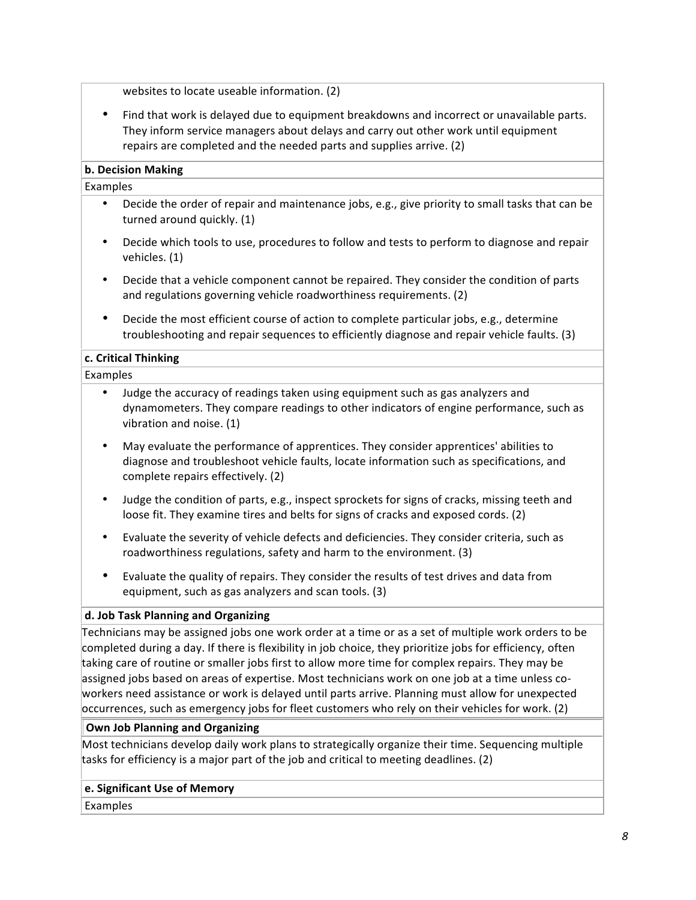websites to locate useable information. (2)

• Find that work is delayed due to equipment breakdowns and incorrect or unavailable parts. They inform service managers about delays and carry out other work until equipment repairs are completed and the needed parts and supplies arrive. (2)

#### **b. Decision Making**

Examples 

- Decide the order of repair and maintenance jobs, e.g., give priority to small tasks that can be turned around quickly. (1)
- Decide which tools to use, procedures to follow and tests to perform to diagnose and repair vehicles. (1)
- Decide that a vehicle component cannot be repaired. They consider the condition of parts and regulations governing vehicle roadworthiness requirements. (2)
- Decide the most efficient course of action to complete particular jobs, e.g., determine troubleshooting and repair sequences to efficiently diagnose and repair vehicle faults. (3)

#### **c. Critical Thinking**

Examples 

- Judge the accuracy of readings taken using equipment such as gas analyzers and dynamometers. They compare readings to other indicators of engine performance, such as vibration and noise. (1)
- May evaluate the performance of apprentices. They consider apprentices' abilities to diagnose and troubleshoot vehicle faults, locate information such as specifications, and complete repairs effectively. (2)
- Judge the condition of parts, e.g., inspect sprockets for signs of cracks, missing teeth and loose fit. They examine tires and belts for signs of cracks and exposed cords. (2)
- Evaluate the severity of vehicle defects and deficiencies. They consider criteria, such as roadworthiness regulations, safety and harm to the environment. (3)
- Evaluate the quality of repairs. They consider the results of test drives and data from equipment, such as gas analyzers and scan tools. (3)

# d. Job Task Planning and Organizing

Technicians may be assigned jobs one work order at a time or as a set of multiple work orders to be completed during a day. If there is flexibility in job choice, they prioritize jobs for efficiency, often taking care of routine or smaller jobs first to allow more time for complex repairs. They may be assigned jobs based on areas of expertise. Most technicians work on one job at a time unless coworkers need assistance or work is delayed until parts arrive. Planning must allow for unexpected occurrences, such as emergency jobs for fleet customers who rely on their vehicles for work. (2)

#### **Own Job Planning and Organizing**

Most technicians develop daily work plans to strategically organize their time. Sequencing multiple tasks for efficiency is a major part of the job and critical to meeting deadlines. (2)

#### **e. Significant Use of Memory**

Examples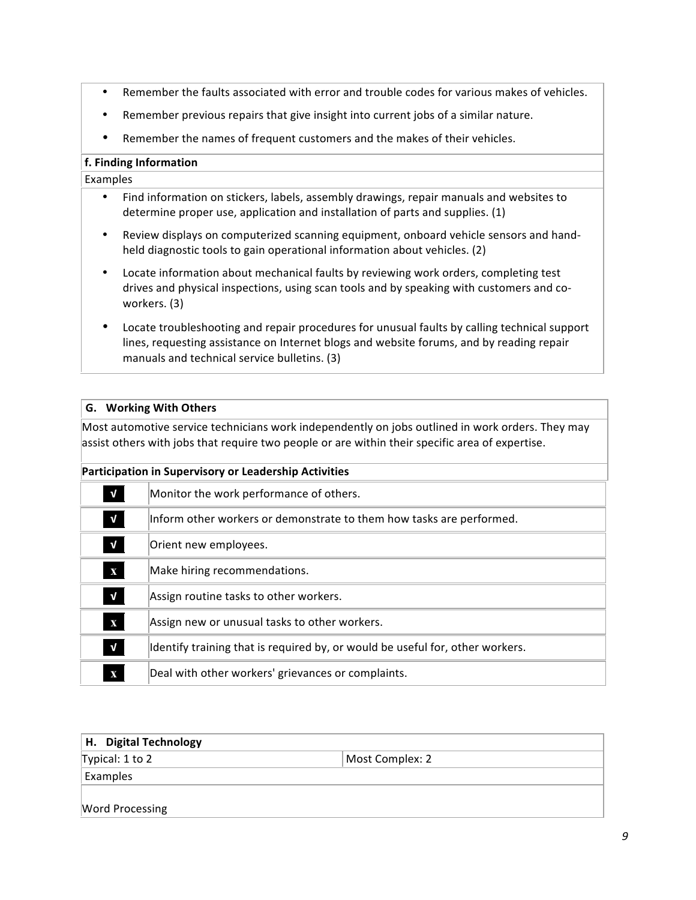- Remember the faults associated with error and trouble codes for various makes of vehicles.
- Remember previous repairs that give insight into current jobs of a similar nature.
- Remember the names of frequent customers and the makes of their vehicles.

#### **f. Finding Information**

Examples 

- Find information on stickers, labels, assembly drawings, repair manuals and websites to determine proper use, application and installation of parts and supplies. (1)
- Review displays on computerized scanning equipment, onboard vehicle sensors and handheld diagnostic tools to gain operational information about vehicles. (2)
- Locate information about mechanical faults by reviewing work orders, completing test drives and physical inspections, using scan tools and by speaking with customers and coworkers. (3)
- Locate troubleshooting and repair procedures for unusual faults by calling technical support lines, requesting assistance on Internet blogs and website forums, and by reading repair manuals and technical service bulletins. (3)

#### **G. Working With Others**

Most automotive service technicians work independently on jobs outlined in work orders. They may assist others with jobs that require two people or are within their specific area of expertise.

#### **Participation in Supervisory or Leadership Activities**

| $\mathbf{V}$ | Monitor the work performance of others.                                       |
|--------------|-------------------------------------------------------------------------------|
| $\mathbf{V}$ | Inform other workers or demonstrate to them how tasks are performed.          |
| $\mathbf{V}$ | Orient new employees.                                                         |
| $\bf{X}$     | Make hiring recommendations.                                                  |
| $\mathbf{V}$ | Assign routine tasks to other workers.                                        |
| $\mathbf X$  | Assign new or unusual tasks to other workers.                                 |
| $\mathbf{V}$ | Identify training that is required by, or would be useful for, other workers. |
| X            | Deal with other workers' grievances or complaints.                            |

| H. Digital Technology  |                 |  |
|------------------------|-----------------|--|
| Typical: 1 to 2        | Most Complex: 2 |  |
| Examples               |                 |  |
| <b>Word Processing</b> |                 |  |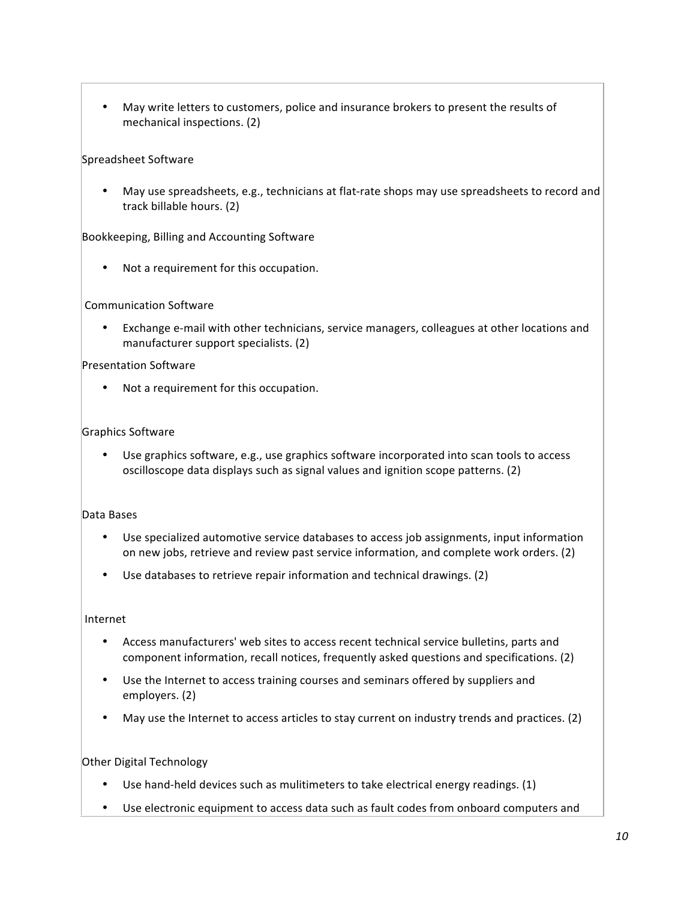• May write letters to customers, police and insurance brokers to present the results of mechanical inspections. (2)

#### Spreadsheet Software

May use spreadsheets, e.g., technicians at flat-rate shops may use spreadsheets to record and track billable hours. (2)

Bookkeeping, Billing and Accounting Software

Not a requirement for this occupation.

#### Communication Software

Exchange e-mail with other technicians, service managers, colleagues at other locations and manufacturer support specialists. (2)

#### Presentation Software

Not a requirement for this occupation.

#### Graphics Software

• Use graphics software, e.g., use graphics software incorporated into scan tools to access oscilloscope data displays such as signal values and ignition scope patterns. (2)

#### Data Bases

- Use specialized automotive service databases to access job assignments, input information on new jobs, retrieve and review past service information, and complete work orders. (2)
- Use databases to retrieve repair information and technical drawings. (2)

#### Internet

- Access manufacturers' web sites to access recent technical service bulletins, parts and component information, recall notices, frequently asked questions and specifications. (2)
- Use the Internet to access training courses and seminars offered by suppliers and employers. (2)
- May use the Internet to access articles to stay current on industry trends and practices. (2)

# Other Digital Technology

- Use hand-held devices such as mulitimeters to take electrical energy readings.  $(1)$
- Use electronic equipment to access data such as fault codes from onboard computers and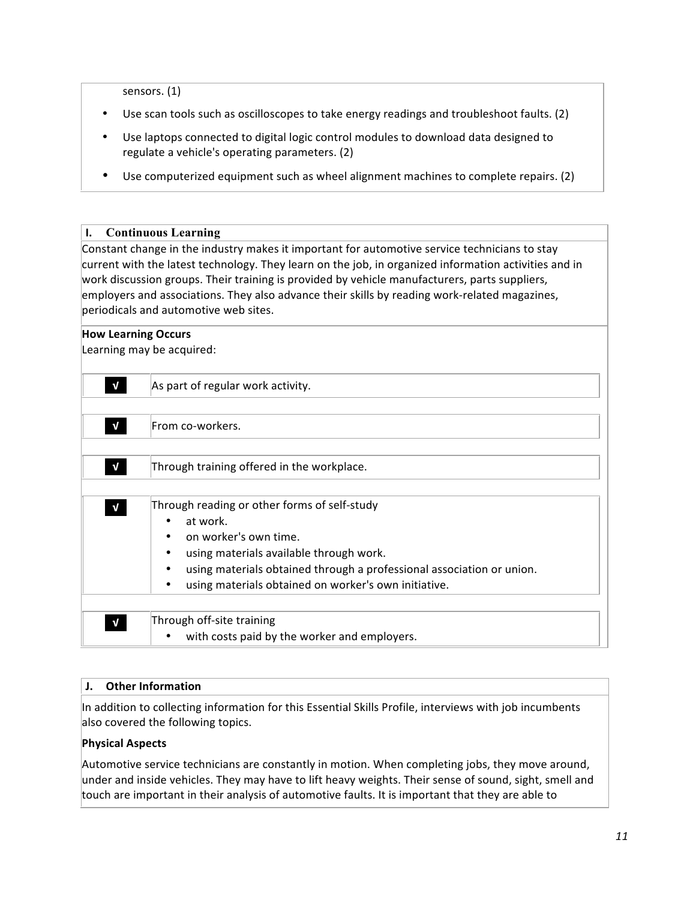sensors. (1)

- Use scan tools such as oscilloscopes to take energy readings and troubleshoot faults. (2)
- Use laptops connected to digital logic control modules to download data designed to regulate a vehicle's operating parameters. (2)
- Use computerized equipment such as wheel alignment machines to complete repairs. (2)

#### **I. Continuous Learning**

Constant change in the industry makes it important for automotive service technicians to stay current with the latest technology. They learn on the job, in organized information activities and in work discussion groups. Their training is provided by vehicle manufacturers, parts suppliers, employers and associations. They also advance their skills by reading work-related magazines, periodicals and automotive web sites.

| <b>How Learning Occurs</b><br>Learning may be acquired: |                                                                                                                                                                                                                                                                                   |  |
|---------------------------------------------------------|-----------------------------------------------------------------------------------------------------------------------------------------------------------------------------------------------------------------------------------------------------------------------------------|--|
| V                                                       | As part of regular work activity.                                                                                                                                                                                                                                                 |  |
| $\mathbf{V}$                                            | From co-workers.                                                                                                                                                                                                                                                                  |  |
| V                                                       | Through training offered in the workplace.                                                                                                                                                                                                                                        |  |
| $\mathbf{v}$                                            | Through reading or other forms of self-study<br>at work.<br>on worker's own time.<br>٠<br>using materials available through work.<br>٠<br>using materials obtained through a professional association or union.<br>٠<br>using materials obtained on worker's own initiative.<br>٠ |  |
| $\mathbf{v}$                                            | Through off-site training<br>with costs paid by the worker and employers.                                                                                                                                                                                                         |  |

#### **J.** Other Information

In addition to collecting information for this Essential Skills Profile, interviews with job incumbents also covered the following topics.

# **Physical Aspects**

Automotive service technicians are constantly in motion. When completing jobs, they move around, under and inside vehicles. They may have to lift heavy weights. Their sense of sound, sight, smell and touch are important in their analysis of automotive faults. It is important that they are able to